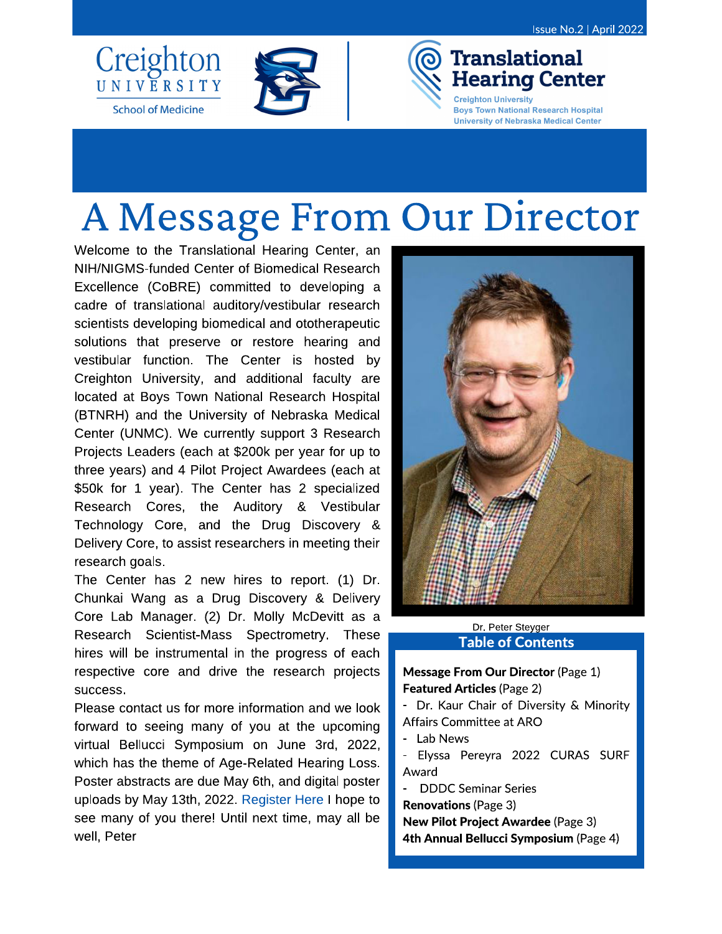

**School of Medicine** 



# A Message From Our Director

Welcome to the Translational Hearing Center, an NIH/NIGMS-funded Center of Biomedical Research Excellence (CoBRE) committed to developing a cadre of translational auditory/vestibular research scientists developing biomedical and ototherapeutic solutions that preserve or restore hearing and vestibular function. The Center is hosted by Creighton University, and additional faculty are located at Boys Town National Research Hospital (BTNRH) and the University of Nebraska Medical Center (UNMC). We currently support 3 Research Projects Leaders (each at \$200k per year for up to three years) and 4 Pilot Project Awardees (each at \$50k for 1 year). The Center has 2 specialized Research Cores, the Auditory & Vestibular Technology Core, and the Drug Discovery & Delivery Core, to assist researchers in meeting their research goals.

The Center has 2 new hires to report. (1) Dr. Chunkai Wang as a Drug Discovery & Delivery Core Lab Manager. (2) Dr. Molly McDevitt as a Research Scientist-Mass Spectrometry. These hires will be instrumental in the progress of each respective core and drive the research projects success.

Please contact us for more information and we look forward to seeing many of you at the upcoming virtual Bellucci Symposium on June 3rd, 2022, which has the theme of Age-Related Hearing Loss. Poster abstracts are due May 6th, and digital poster uploads by May 13th, 2022. Register Here I hope to see many of you there! Until next time, may all be well, Peter



#### Dr. Peter Steyger **Table of Contents**

#### **Message From Our Director (Page 1) Featured Articles (Page 2)**

- Dr. Kaur Chair of Diversity & Minority Affairs Committee at ARO

- Lab News
- Elyssa Pereyra 2022 CURAS SURF Award
- **DDDC Seminar Series**

**Renovations (Page 3)** 

**New Pilot Project Awardee (Page 3)** 4th Annual Bellucci Symposium (Page 4)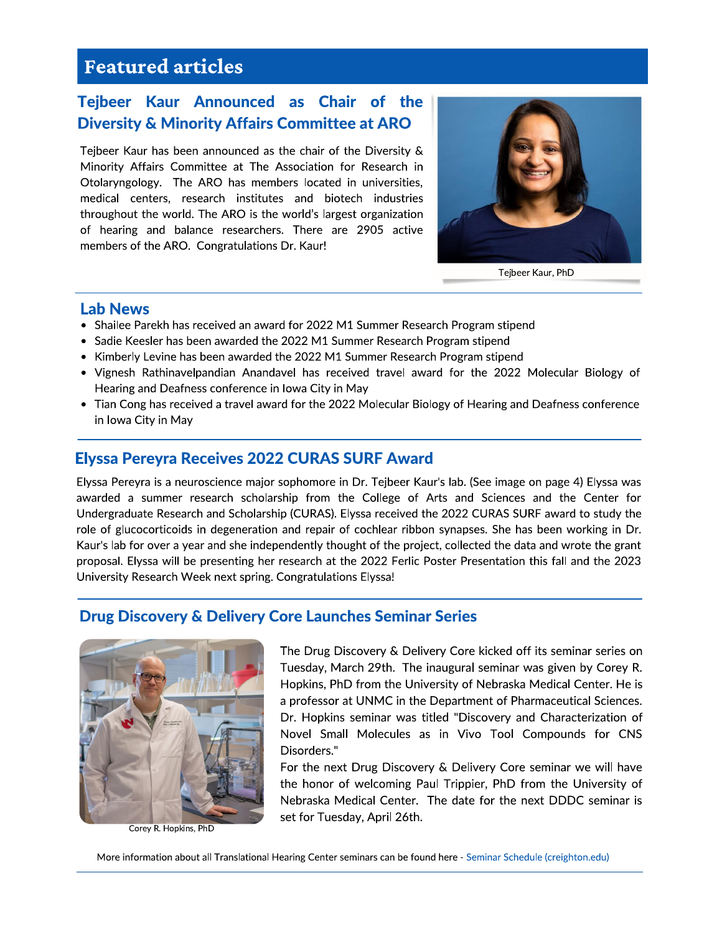## **Featured articles**

## Tejbeer Kaur Announced as Chair of the **Diversity & Minority Affairs Committee at ARO**

Tejbeer Kaur has been announced as the chair of the Diversity & Minority Affairs Committee at The Association for Research in Otolaryngology. The ARO has members located in universities, medical centers, research institutes and biotech industries throughout the world. The ARO is the world's largest organization of hearing and balance researchers. There are 2905 active members of the ARO. Congratulations Dr. Kaur!



Tejbeer Kaur, PhD

#### **Lab News**

- Shailee Parekh has received an award for 2022 M1 Summer Research Program stipend
- Sadie Keesler has been awarded the 2022 M1 Summer Research Program stipend
- Kimberly Levine has been awarded the 2022 M1 Summer Research Program stipend
- Vignesh Rathinavelpandian Anandavel has received travel award for the 2022 Molecular Biology of Hearing and Deafness conference in Iowa City in May
- Tian Cong has received a travel award for the 2022 Molecular Biology of Hearing and Deafness conference in Iowa City in May

### **Elyssa Pereyra Receives 2022 CURAS SURF Award**

Elyssa Pereyra is a neuroscience major sophomore in Dr. Tejbeer Kaur's lab. (See image on page 4) Elyssa was awarded a summer research scholarship from the College of Arts and Sciences and the Center for Undergraduate Research and Scholarship (CURAS). Elyssa received the 2022 CURAS SURF award to study the role of glucocorticoids in degeneration and repair of cochlear ribbon synapses. She has been working in Dr. Kaur's lab for over a year and she independently thought of the project, collected the data and wrote the grant proposal. Elyssa will be presenting her research at the 2022 Ferlic Poster Presentation this fall and the 2023 University Research Week next spring. Congratulations Elyssa!

#### **Drug Discovery & Delivery Core Launches Seminar Series**



Corey R. Hopkins, PhD

The Drug Discovery & Delivery Core kicked off its seminar series on Tuesday, March 29th. The inaugural seminar was given by Corey R. Hopkins, PhD from the University of Nebraska Medical Center. He is a professor at UNMC in the Department of Pharmaceutical Sciences. Dr. Hopkins seminar was titled "Discovery and Characterization of Novel Small Molecules as in Vivo Tool Compounds for CNS Disorders."

For the next Drug Discovery & Delivery Core seminar we will have the honor of welcoming Paul Trippier, PhD from the University of Nebraska Medical Center. The date for the next DDDC seminar is set for Tuesday, April 26th.

More information about all Translational Hearing Center seminars can be found here - Seminar Schedule (creighton.edu)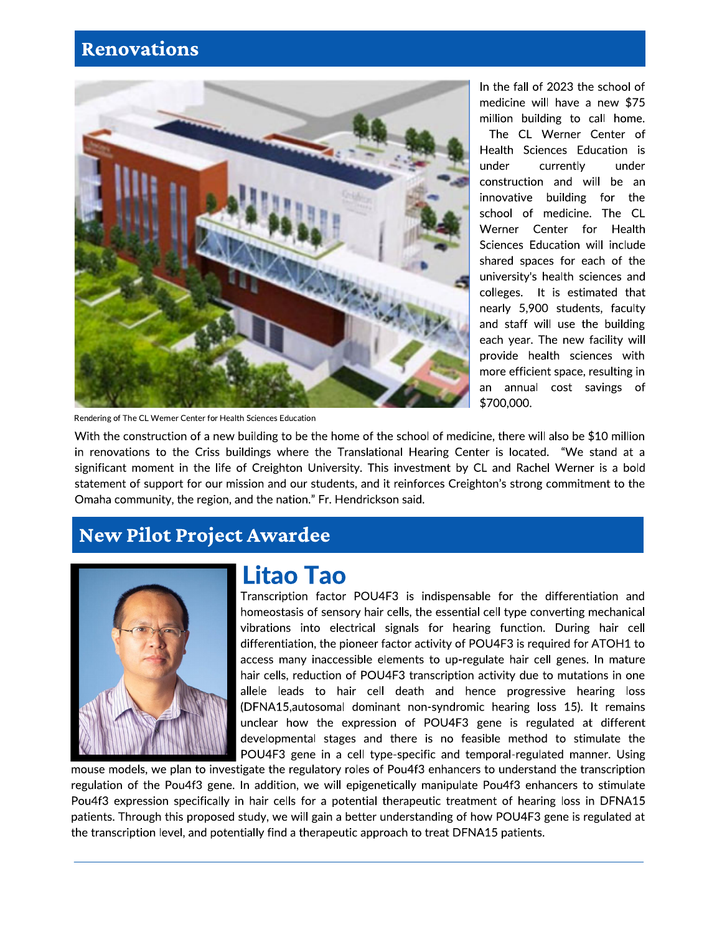## **Renovations**



Rendering of The CL Werner Center for Health Sciences Education

In the fall of 2023 the school of medicine will have a new \$75 million building to call home.

The CL Werner Center of Health Sciences Education is under currently under construction and will be an innovative building for the school of medicine. The CL Werner Center for Health Sciences Education will include shared spaces for each of the university's health sciences and colleges. It is estimated that nearly 5,900 students, faculty and staff will use the building each year. The new facility will provide health sciences with more efficient space, resulting in an annual cost savings of \$700,000.

With the construction of a new building to be the home of the school of medicine, there will also be \$10 million in renovations to the Criss buildings where the Translational Hearing Center is located. "We stand at a significant moment in the life of Creighton University. This investment by CL and Rachel Werner is a bold statement of support for our mission and our students, and it reinforces Creighton's strong commitment to the Omaha community, the region, and the nation." Fr. Hendrickson said.

## **New Pilot Project Awardee**



# **Litao Tao**

Transcription factor POU4F3 is indispensable for the differentiation and homeostasis of sensory hair cells, the essential cell type converting mechanical vibrations into electrical signals for hearing function. During hair cell differentiation, the pioneer factor activity of POU4F3 is required for ATOH1 to access many inaccessible elements to up-regulate hair cell genes. In mature hair cells, reduction of POU4F3 transcription activity due to mutations in one allele leads to hair cell death and hence progressive hearing loss (DFNA15, autosomal dominant non-syndromic hearing loss 15). It remains unclear how the expression of POU4F3 gene is regulated at different developmental stages and there is no feasible method to stimulate the POU4F3 gene in a cell type-specific and temporal-regulated manner. Using

mouse models, we plan to investigate the regulatory roles of Pou4f3 enhancers to understand the transcription regulation of the Pou4f3 gene. In addition, we will epigenetically manipulate Pou4f3 enhancers to stimulate Pou4f3 expression specifically in hair cells for a potential therapeutic treatment of hearing loss in DFNA15 patients. Through this proposed study, we will gain a better understanding of how POU4F3 gene is regulated at the transcription level, and potentially find a therapeutic approach to treat DFNA15 patients.